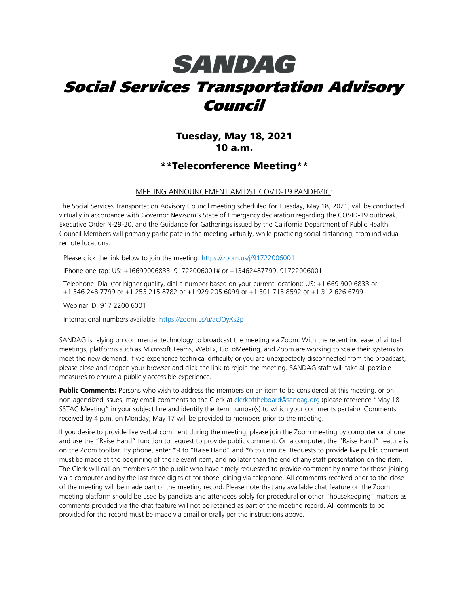# **SANDAG** Social Services Transportation Advisory Council

### Tuesday, May 18, 2021 10 a.m.

#### \*\*Teleconference Meeting\*\*

#### MEETING ANNOUNCEMENT AMIDST COVID-19 PANDEMIC:

The Social Services Transportation Advisory Council meeting scheduled for Tuesday, May 18, 2021, will be conducted virtually in accordance with Governor Newsom's State of Emergency declaration regarding the COVID-19 outbreak, Executive Order N-29-20, and the Guidance for Gatherings issued by the California Department of Public Health. Council Members will primarily participate in the meeting virtually, while practicing social distancing, from individual remote locations.

Please click the link below to join the meeting:<https://zoom.us/j/91722006001>

iPhone one-tap: US: +16699006833, 91722006001# or +13462487799, 91722006001

Telephone: Dial (for higher quality, dial a number based on your current location): US: +1 669 900 6833 or +1 346 248 7799 or +1 253 215 8782 or +1 929 205 6099 or +1 301 715 8592 or +1 312 626 6799

Webinar ID: 917 2200 6001

International numbers available:<https://zoom.us/u/acJOyXs2p>

SANDAG is relying on commercial technology to broadcast the meeting via Zoom. With the recent increase of virtual meetings, platforms such as Microsoft Teams, WebEx, GoToMeeting, and Zoom are working to scale their systems to meet the new demand. If we experience technical difficulty or you are unexpectedly disconnected from the broadcast, please close and reopen your browser and click the link to rejoin the meeting. SANDAG staff will take all possible measures to ensure a publicly accessible experience.

Public Comments: Persons who wish to address the members on an item to be considered at this meeting, or on non-agendized issues, may email comments to the Clerk at [clerkoftheboard@sandag.org](mailto:clerkoftheboard@sandag.org) (please reference "May 18 SSTAC Meeting" in your subject line and identify the item number(s) to which your comments pertain). Comments received by 4 p.m. on Monday, May 17 will be provided to members prior to the meeting.

If you desire to provide live verbal comment during the meeting, please join the Zoom meeting by computer or phone and use the "Raise Hand" function to request to provide public comment. On a computer, the "Raise Hand" feature is on the Zoom toolbar. By phone, enter \*9 to "Raise Hand" and \*6 to unmute. Requests to provide live public comment must be made at the beginning of the relevant item, and no later than the end of any staff presentation on the item. The Clerk will call on members of the public who have timely requested to provide comment by name for those joining via a computer and by the last three digits of for those joining via telephone. All comments received prior to the close of the meeting will be made part of the meeting record. Please note that any available chat feature on the Zoom meeting platform should be used by panelists and attendees solely for procedural or other "housekeeping" matters as comments provided via the chat feature will not be retained as part of the meeting record. All comments to be provided for the record must be made via email or orally per the instructions above.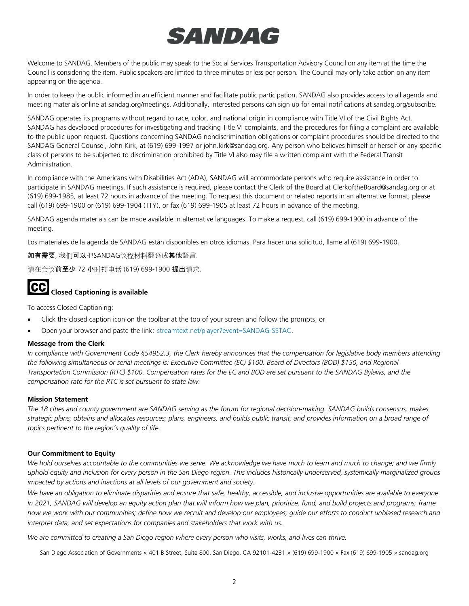# **SANDAG**

Welcome to SANDAG. Members of the public may speak to the Social Services Transportation Advisory Council on any item at the time the Council is considering the item. Public speakers are limited to three minutes or less per person. The Council may only take action on any item appearing on the agenda.

In order to keep the public informed in an efficient manner and facilitate public participation, SANDAG also provides access to all agenda and meeting materials online at sandag.org/meetings. Additionally, interested persons can sign up for email notifications at sandag.org/subscribe.

SANDAG operates its programs without regard to race, color, and national origin in compliance with Title VI of the Civil Rights Act. SANDAG has developed procedures for investigating and tracking Title VI complaints, and the procedures for filing a complaint are available to the public upon request. Questions concerning SANDAG nondiscrimination obligations or complaint procedures should be directed to the SANDAG General Counsel, John Kirk, at (619) 699-1997 or john.kirk@sandag.org. Any person who believes himself or herself or any specific class of persons to be subjected to discrimination prohibited by Title VI also may file a written complaint with the Federal Transit Administration.

In compliance with the Americans with Disabilities Act (ADA), SANDAG will accommodate persons who require assistance in order to participate in SANDAG meetings. If such assistance is required, please contact the Clerk of the Board at ClerkoftheBoard@sandag.org or at (619) 699-1985, at least 72 hours in advance of the meeting. To request this document or related reports in an alternative format, please call (619) 699-1900 or (619) 699-1904 (TTY), or fax (619) 699-1905 at least 72 hours in advance of the meeting.

SANDAG agenda materials can be made available in alternative languages. To make a request, call (619) 699-1900 in advance of the meeting.

Los materiales de la agenda de SANDAG están disponibles en otros idiomas. Para hacer una solicitud, llame al (619) 699-1900.

如有需要, 我们可以把SANDAG议程材料翻译成其他語言.

请在会议前至少 72 小时打电话 (619) 699-1900 提出请求.



# **CC** Closed Captioning is available

To access Closed Captioning:

- Click the closed caption icon on the toolbar at the top of your screen and follow the prompts, or
- Open your browser and paste the link: [streamtext.net/player?event=SANDAG-SSTAC.](https://www.streamtext.net/player?event=SANDAG-SSTAC)

#### **Message from the Clerk**

*In compliance with Government Code §54952.3, the Clerk hereby announces that the compensation for legislative body members attending the following simultaneous or serial meetings is: Executive Committee (EC) \$100, Board of Directors (BOD) \$150, and Regional Transportation Commission (RTC) \$100. Compensation rates for the EC and BOD are set pursuant to the SANDAG Bylaws, and the compensation rate for the RTC is set pursuant to state law.*

#### **Mission Statement**

*The 18 cities and county government are SANDAG serving as the forum for regional decision-making. SANDAG builds consensus; makes strategic plans; obtains and allocates resources; plans, engineers, and builds public transit; and provides information on a broad range of topics pertinent to the region's quality of life.*

#### **Our Commitment to Equity**

*We hold ourselves accountable to the communities we serve. We acknowledge we have much to learn and much to change; and we firmly uphold equity and inclusion for every person in the San Diego region. This includes historically underserved, systemically marginalized groups impacted by actions and inactions at all levels of our government and society.*

*We have an obligation to eliminate disparities and ensure that safe, healthy, accessible, and inclusive opportunities are available to everyone. In 2021, SANDAG will develop an equity action plan that will inform how we plan, prioritize, fund, and build projects and programs; frame*  how we work with our communities; define how we recruit and develop our employees; quide our efforts to conduct unbiased research and *interpret data; and set expectations for companies and stakeholders that work with us.*

*We are committed to creating a San Diego region where every person who visits, works, and lives can thrive.*

San Diego Association of Governments × 401 B Street, Suite 800, San Diego, CA 92101-4231 × (619) 699-1900 × Fax (619) 699-1905 × sandag.org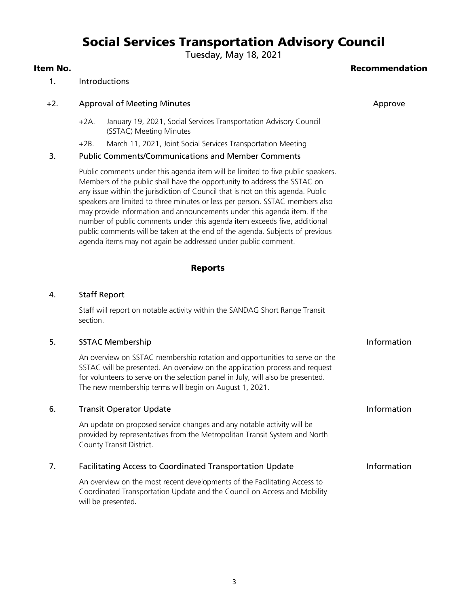## Social Services Transportation Advisory Council

Tuesday, May 18, 2021

#### Item No. Recommendation

#### 1. Introductions

#### +2. Approval of Meeting Minutes Approve Approve Approve Approve

- +2A. January 19, 2021, Social Services Transportation Advisory Council (SSTAC) Meeting Minutes
- +2B. March 11, 2021, Joint Social Services Transportation Meeting

#### 3. Public Comments/Communications and Member Comments

Public comments under this agenda item will be limited to five public speakers. Members of the public shall have the opportunity to address the SSTAC on any issue within the jurisdiction of Council that is not on this agenda. Public speakers are limited to three minutes or less per person. SSTAC members also may provide information and announcements under this agenda item. If the number of public comments under this agenda item exceeds five, additional public comments will be taken at the end of the agenda. Subjects of previous agenda items may not again be addressed under public comment.

#### Reports

#### 4. Staff Report

Staff will report on notable activity within the SANDAG Short Range Transit section.

#### 5. SSTAC Membership STAC Membership Information and the state of the state of the state of the state of the state of the state of the state of the state of the state of the state of the state of the state of the state of t

An overview on SSTAC membership rotation and opportunities to serve on the SSTAC will be presented. An overview on the application process and request for volunteers to serve on the selection panel in July, will also be presented. The new membership terms will begin on August 1, 2021.

#### 6. Transit Operator Update **Information**

An update on proposed service changes and any notable activity will be provided by representatives from the Metropolitan Transit System and North County Transit District.

#### 7. Facilitating Access to Coordinated Transportation Update **Information**

An overview on the most recent developments of the Facilitating Access to Coordinated Transportation Update and the Council on Access and Mobility will be presented.

3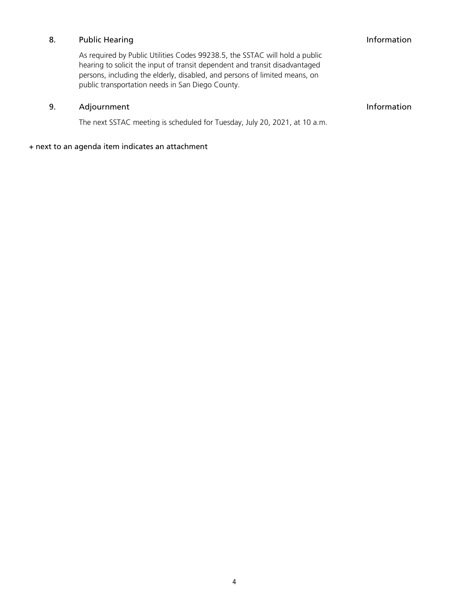#### 8. Public Hearing **Information**

As required by Public Utilities Codes 99238.5, the SSTAC will hold a public hearing to solicit the input of transit dependent and transit disadvantaged persons, including the elderly, disabled, and persons of limited means, on public transportation needs in San Diego County.

#### 9. Adjournment and the state of the state of the state of the state of the state of the state of the state of the state of the state of the state of the state of the state of the state of the state of the state of the stat

The next SSTAC meeting is scheduled for Tuesday, July 20, 2021, at 10 a.m.

#### + next to an agenda item indicates an attachment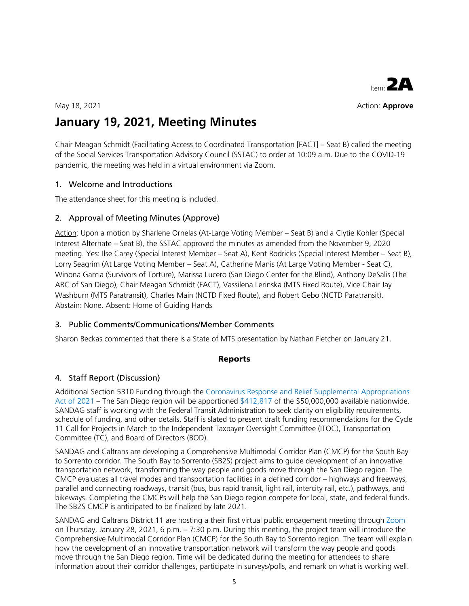

May 18, 2021 **Action: Approve** 

## **January 19, 2021, Meeting Minutes**

Chair Meagan Schmidt (Facilitating Access to Coordinated Transportation [FACT] – Seat B) called the meeting of the Social Services Transportation Advisory Council (SSTAC) to order at 10:09 a.m. Due to the COVID-19 pandemic, the meeting was held in a virtual environment via Zoom.

#### 1. Welcome and Introductions

The attendance sheet for this meeting is included.

#### 2. Approval of Meeting Minutes (Approve)

Action: Upon a motion by Sharlene Ornelas (At-Large Voting Member – Seat B) and a Clytie Kohler (Special Interest Alternate – Seat B), the SSTAC approved the minutes as amended from the November 9, 2020 meeting. Yes: Ilse Carey (Special Interest Member – Seat A), Kent Rodricks (Special Interest Member – Seat B), Lorry Seagrim (At Large Voting Member – Seat A), Catherine Manis (At Large Voting Member - Seat C), Winona Garcia (Survivors of Torture), Marissa Lucero (San Diego Center for the Blind), Anthony DeSalis (The ARC of San Diego), Chair Meagan Schmidt (FACT), Vassilena Lerinska (MTS Fixed Route), Vice Chair Jay Washburn (MTS Paratransit), Charles Main (NCTD Fixed Route), and Robert Gebo (NCTD Paratransit). Abstain: None. Absent: Home of Guiding Hands

#### 3. Public Comments/Communications/Member Comments

Sharon Beckas commented that there is a State of MTS presentation by Nathan Fletcher on January 21.

#### Reports

#### 4. Staff Report (Discussion)

Additional Section 5310 Funding through the [Coronavirus Response and Relief Supplemental Appropriations](https://gcc02.safelinks.protection.outlook.com/?url=https%3A%2F%2Fwww.transit.dot.gov%2Ffunding%2Fgrants%2Fcoronavirus-response-and-relief-supplemental-appropriations-act-2021&data=04%7C01%7CLisa.Madsen%40sandag.org%7C1a81b96c098b4a25d9bf08d8b97e14a7%7C2bbb5689d9d5406b8d02cf1002b473e7%7C0%7C0%7C637463298473349746%7CUnknown%7CTWFpbGZsb3d8eyJWIjoiMC4wLjAwMDAiLCJQIjoiV2luMzIiLCJBTiI6Ik1haWwiLCJXVCI6Mn0%3D%7C1000&sdata=D6ywz9%2BJ3%2B3vcX52sBJ2WzkkASQ5p7U4WZZifPnSQd8%3D&reserved=0)  [Act of 2021](https://gcc02.safelinks.protection.outlook.com/?url=https%3A%2F%2Fwww.transit.dot.gov%2Ffunding%2Fgrants%2Fcoronavirus-response-and-relief-supplemental-appropriations-act-2021&data=04%7C01%7CLisa.Madsen%40sandag.org%7C1a81b96c098b4a25d9bf08d8b97e14a7%7C2bbb5689d9d5406b8d02cf1002b473e7%7C0%7C0%7C637463298473349746%7CUnknown%7CTWFpbGZsb3d8eyJWIjoiMC4wLjAwMDAiLCJQIjoiV2luMzIiLCJBTiI6Ik1haWwiLCJXVCI6Mn0%3D%7C1000&sdata=D6ywz9%2BJ3%2B3vcX52sBJ2WzkkASQ5p7U4WZZifPnSQd8%3D&reserved=0) – The San Diego region will be apportione[d \\$412,817](https://gcc02.safelinks.protection.outlook.com/?url=https%3A%2F%2Fwww.transit.dot.gov%2Ffunding%2Fgrants%2Ftable-5-crrsaa-apportionments-enhanced-mobility-seniors-and-individuals-disabilities&data=04%7C01%7CLisa.Madsen%40sandag.org%7C1a81b96c098b4a25d9bf08d8b97e14a7%7C2bbb5689d9d5406b8d02cf1002b473e7%7C0%7C0%7C637463298473349746%7CUnknown%7CTWFpbGZsb3d8eyJWIjoiMC4wLjAwMDAiLCJQIjoiV2luMzIiLCJBTiI6Ik1haWwiLCJXVCI6Mn0%3D%7C1000&sdata=wxTvcRoJv6wrgNuDrcrIwpT%2Bi824H3jPw3MwEwBj1mo%3D&reserved=0) of the \$50,000,000 available nationwide. SANDAG staff is working with the Federal Transit Administration to seek clarity on eligibility requirements, schedule of funding, and other details. Staff is slated to present draft funding recommendations for the Cycle 11 Call for Projects in March to the Independent Taxpayer Oversight Committee (ITOC), Transportation Committee (TC), and Board of Directors (BOD).

SANDAG and Caltrans are developing a Comprehensive Multimodal Corridor Plan (CMCP) for the South Bay to Sorrento corridor. The South Bay to Sorrento (SB2S) project aims to guide development of an innovative transportation network, transforming the way people and goods move through the San Diego region. The CMCP evaluates all travel modes and transportation facilities in a defined corridor – highways and freeways, parallel and connecting roadways, transit (bus, bus rapid transit, light rail, intercity rail, etc.), pathways, and bikeways. Completing the CMCPs will help the San Diego region compete for local, state, and federal funds. The SB2S CMCP is anticipated to be finalized by late 2021.

SANDAG and Caltrans District 11 are hosting a their first virtual public engagement meeting through [Zoom](https://gcc02.safelinks.protection.outlook.com/?url=https%3A%2F%2Fus02web.zoom.us%2Fj%2F84300170028&data=04%7C01%7CLisa.Madsen%40sandag.org%7Cc433e7e652ae4dcd5a0d08d8b9813d01%7C2bbb5689d9d5406b8d02cf1002b473e7%7C0%7C0%7C637463312030934217%7CUnknown%7CTWFpbGZsb3d8eyJWIjoiMC4wLjAwMDAiLCJQIjoiV2luMzIiLCJBTiI6Ik1haWwiLCJXVCI6Mn0%3D%7C1000&sdata=g73DPSPgf2jx1CRn59trcprwIqkYmBkoodjvr98LFdQ%3D&reserved=0) on Thursday, January 28, 2021, 6 p.m. – 7:30 p.m. During this meeting, the project team will introduce the Comprehensive Multimodal Corridor Plan (CMCP) for the South Bay to Sorrento region. The team will explain how the development of an innovative transportation network will transform the way people and goods move through the San Diego region. Time will be dedicated during the meeting for attendees to share information about their corridor challenges, participate in surveys/polls, and remark on what is working well.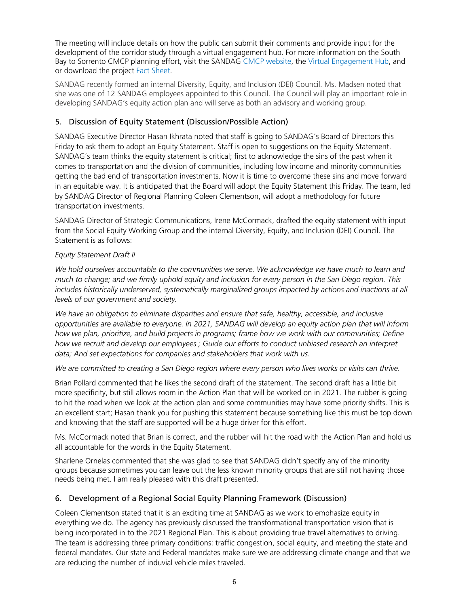The meeting will include details on how the public can submit their comments and provide input for the development of the corridor study through a virtual engagement hub. For more information on the South Bay to Sorrento CMCP planning effort, visit the SANDAG [CMCP website,](https://gcc02.safelinks.protection.outlook.com/?url=https%3A%2F%2Fwww.sandag.org%2Findex.asp%3Fclassid%3D12%26subclassid%3D83%26projectid%3D611%26fuseaction%3Dprojects.detail&data=04%7C01%7CLisa.Madsen%40sandag.org%7Cc433e7e652ae4dcd5a0d08d8b9813d01%7C2bbb5689d9d5406b8d02cf1002b473e7%7C0%7C0%7C637463312030944180%7CUnknown%7CTWFpbGZsb3d8eyJWIjoiMC4wLjAwMDAiLCJQIjoiV2luMzIiLCJBTiI6Ik1haWwiLCJXVCI6Mn0%3D%7C1000&sdata=rAvYlxS%2B2TsbW%2FYQI7rZOeQ%2Fj%2FRUPryBufvgyhVbuA8%3D&reserved=0) the [Virtual Engagement Hub,](https://gcc02.safelinks.protection.outlook.com/?url=https%3A%2F%2Fsandag.mysocialpinpoint.com%2Fsouthbaytosorrento&data=04%7C01%7CLisa.Madsen%40sandag.org%7Cc433e7e652ae4dcd5a0d08d8b9813d01%7C2bbb5689d9d5406b8d02cf1002b473e7%7C0%7C0%7C637463312030944180%7CUnknown%7CTWFpbGZsb3d8eyJWIjoiMC4wLjAwMDAiLCJQIjoiV2luMzIiLCJBTiI6Ik1haWwiLCJXVCI6Mn0%3D%7C1000&sdata=qb5g0Sf%2FhlKu0ceGHfVZBxrV7kS2qRFq9OVrVPZj1vg%3D&reserved=0) and or download the project [Fact Sheet.](https://gcc02.safelinks.protection.outlook.com/?url=https%3A%2F%2Fwww.virtualeventroom.com%2Fhntb%2Fsandag%2Fdocs%2FSB2S-Factsheet.pdf&data=04%7C01%7CLisa.Madsen%40sandag.org%7Cc433e7e652ae4dcd5a0d08d8b9813d01%7C2bbb5689d9d5406b8d02cf1002b473e7%7C0%7C0%7C637463312030954133%7CUnknown%7CTWFpbGZsb3d8eyJWIjoiMC4wLjAwMDAiLCJQIjoiV2luMzIiLCJBTiI6Ik1haWwiLCJXVCI6Mn0%3D%7C1000&sdata=wKZbd61MNlt3sB9Z6yD159ISGuA2i3%2BJfjT6%2FuXG9Xo%3D&reserved=0)

SANDAG recently formed an internal Diversity, Equity, and Inclusion (DEI) Council. Ms. Madsen noted that she was one of 12 SANDAG employees appointed to this Council. The Council will play an important role in developing SANDAG's equity action plan and will serve as both an advisory and working group.

#### 5. Discussion of Equity Statement (Discussion/Possible Action)

SANDAG Executive Director Hasan Ikhrata noted that staff is going to SANDAG's Board of Directors this Friday to ask them to adopt an Equity Statement. Staff is open to suggestions on the Equity Statement. SANDAG's team thinks the equity statement is critical; first to acknowledge the sins of the past when it comes to transportation and the division of communities, including low income and minority communities getting the bad end of transportation investments. Now it is time to overcome these sins and move forward in an equitable way. It is anticipated that the Board will adopt the Equity Statement this Friday. The team, led by SANDAG Director of Regional Planning Coleen Clementson, will adopt a methodology for future transportation investments.

SANDAG Director of Strategic Communications, Irene McCormack, drafted the equity statement with input from the Social Equity Working Group and the internal Diversity, Equity, and Inclusion (DEI) Council. The Statement is as follows:

#### *Equity Statement Draft II*

*We hold ourselves accountable to the communities we serve. We acknowledge we have much to learn and much to change; and we firmly uphold equity and inclusion for every person in the San Diego region. This*  includes historically underserved, systematically marginalized groups impacted by actions and inactions at all *levels of our government and society.* 

*We have an obligation to eliminate disparities and ensure that safe, healthy, accessible, and inclusive opportunities are available to everyone. In 2021, SANDAG will develop an equity action plan that will inform how we plan, prioritize, and build projects in programs; frame how we work with our communities; Define how we recruit and develop our employees ; Guide our efforts to conduct unbiased research an interpret data; And set expectations for companies and stakeholders that work with us.* 

*We are committed to creating a San Diego region where every person who lives works or visits can thrive.* 

Brian Pollard commented that he likes the second draft of the statement. The second draft has a little bit more specificity, but still allows room in the Action Plan that will be worked on in 2021. The rubber is going to hit the road when we look at the action plan and some communities may have some priority shifts. This is an excellent start; Hasan thank you for pushing this statement because something like this must be top down and knowing that the staff are supported will be a huge driver for this effort.

Ms. McCormack noted that Brian is correct, and the rubber will hit the road with the Action Plan and hold us all accountable for the words in the Equity Statement.

Sharlene Ornelas commented that she was glad to see that SANDAG didn't specify any of the minority groups because sometimes you can leave out the less known minority groups that are still not having those needs being met. I am really pleased with this draft presented.

#### 6. Development of a Regional Social Equity Planning Framework (Discussion)

Coleen Clementson stated that it is an exciting time at SANDAG as we work to emphasize equity in everything we do. The agency has previously discussed the transformational transportation vision that is being incorporated in to the 2021 Regional Plan. This is about providing true travel alternatives to driving. The team is addressing three primary conditions: traffic congestion, social equity, and meeting the state and federal mandates. Our state and Federal mandates make sure we are addressing climate change and that we are reducing the number of induvial vehicle miles traveled.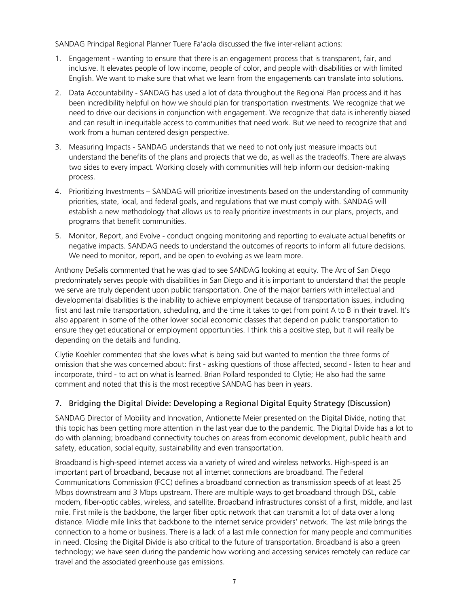SANDAG Principal Regional Planner Tuere Fa'aola discussed the five inter-reliant actions:

- 1. Engagement wanting to ensure that there is an engagement process that is transparent, fair, and inclusive. It elevates people of low income, people of color, and people with disabilities or with limited English. We want to make sure that what we learn from the engagements can translate into solutions.
- 2. Data Accountability SANDAG has used a lot of data throughout the Regional Plan process and it has been incredibility helpful on how we should plan for transportation investments. We recognize that we need to drive our decisions in conjunction with engagement. We recognize that data is inherently biased and can result in inequitable access to communities that need work. But we need to recognize that and work from a human centered design perspective.
- 3. Measuring Impacts SANDAG understands that we need to not only just measure impacts but understand the benefits of the plans and projects that we do, as well as the tradeoffs. There are always two sides to every impact. Working closely with communities will help inform our decision-making process.
- 4. Prioritizing Investments SANDAG will prioritize investments based on the understanding of community priorities, state, local, and federal goals, and regulations that we must comply with. SANDAG will establish a new methodology that allows us to really prioritize investments in our plans, projects, and programs that benefit communities.
- 5. Monitor, Report, and Evolve conduct ongoing monitoring and reporting to evaluate actual benefits or negative impacts. SANDAG needs to understand the outcomes of reports to inform all future decisions. We need to monitor, report, and be open to evolving as we learn more.

Anthony DeSalis commented that he was glad to see SANDAG looking at equity. The Arc of San Diego predominately serves people with disabilities in San Diego and it is important to understand that the people we serve are truly dependent upon public transportation. One of the major barriers with intellectual and developmental disabilities is the inability to achieve employment because of transportation issues, including first and last mile transportation, scheduling, and the time it takes to get from point A to B in their travel. It's also apparent in some of the other lower social economic classes that depend on public transportation to ensure they get educational or employment opportunities. I think this a positive step, but it will really be depending on the details and funding.

Clytie Koehler commented that she loves what is being said but wanted to mention the three forms of omission that she was concerned about: first - asking questions of those affected, second - listen to hear and incorporate, third - to act on what is learned. Brian Pollard responded to Clytie; He also had the same comment and noted that this is the most receptive SANDAG has been in years.

#### 7. Bridging the Digital Divide: Developing a Regional Digital Equity Strategy (Discussion)

SANDAG Director of Mobility and Innovation, Antionette Meier presented on the Digital Divide, noting that this topic has been getting more attention in the last year due to the pandemic. The Digital Divide has a lot to do with planning; broadband connectivity touches on areas from economic development, public health and safety, education, social equity, sustainability and even transportation.

Broadband is high-speed internet access via a variety of wired and wireless networks. High-speed is an important part of broadband, because not all internet connections are broadband. The Federal Communications Commission (FCC) defines a broadband connection as transmission speeds of at least 25 Mbps downstream and 3 Mbps upstream. There are multiple ways to get broadband through DSL, cable modem, fiber-optic cables, wireless, and satellite. Broadband infrastructures consist of a first, middle, and last mile. First mile is the backbone, the larger fiber optic network that can transmit a lot of data over a long distance. Middle mile links that backbone to the internet service providers' network. The last mile brings the connection to a home or business. There is a lack of a last mile connection for many people and communities in need. Closing the Digital Divide is also critical to the future of transportation. Broadband is also a green technology; we have seen during the pandemic how working and accessing services remotely can reduce car travel and the associated greenhouse gas emissions.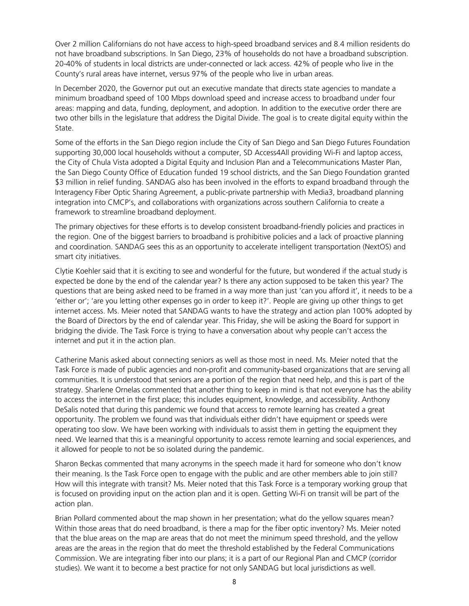Over 2 million Californians do not have access to high-speed broadband services and 8.4 million residents do not have broadband subscriptions. In San Diego, 23% of households do not have a broadband subscription. 20-40% of students in local districts are under-connected or lack access. 42% of people who live in the County's rural areas have internet, versus 97% of the people who live in urban areas.

In December 2020, the Governor put out an executive mandate that directs state agencies to mandate a minimum broadband speed of 100 Mbps download speed and increase access to broadband under four areas: mapping and data, funding, deployment, and adoption. In addition to the executive order there are two other bills in the legislature that address the Digital Divide. The goal is to create digital equity within the State.

Some of the efforts in the San Diego region include the City of San Diego and San Diego Futures Foundation supporting 30,000 local households without a computer, SD Access4All providing Wi-Fi and laptop access, the City of Chula Vista adopted a Digital Equity and Inclusion Plan and a Telecommunications Master Plan, the San Diego County Office of Education funded 19 school districts, and the San Diego Foundation granted \$3 million in relief funding. SANDAG also has been involved in the efforts to expand broadband through the Interagency Fiber Optic Sharing Agreement, a public-private partnership with Media3, broadband planning integration into CMCP's, and collaborations with organizations across southern California to create a framework to streamline broadband deployment.

The primary objectives for these efforts is to develop consistent broadband-friendly policies and practices in the region. One of the biggest barriers to broadband is prohibitive policies and a lack of proactive planning and coordination. SANDAG sees this as an opportunity to accelerate intelligent transportation (NextOS) and smart city initiatives.

Clytie Koehler said that it is exciting to see and wonderful for the future, but wondered if the actual study is expected be done by the end of the calendar year? Is there any action supposed to be taken this year? The questions that are being asked need to be framed in a way more than just 'can you afford it', it needs to be a 'either or'; 'are you letting other expenses go in order to keep it?'. People are giving up other things to get internet access. Ms. Meier noted that SANDAG wants to have the strategy and action plan 100% adopted by the Board of Directors by the end of calendar year. This Friday, she will be asking the Board for support in bridging the divide. The Task Force is trying to have a conversation about why people can't access the internet and put it in the action plan.

Catherine Manis asked about connecting seniors as well as those most in need. Ms. Meier noted that the Task Force is made of public agencies and non-profit and community-based organizations that are serving all communities. It is understood that seniors are a portion of the region that need help, and this is part of the strategy. Sharlene Ornelas commented that another thing to keep in mind is that not everyone has the ability to access the internet in the first place; this includes equipment, knowledge, and accessibility. Anthony DeSalis noted that during this pandemic we found that access to remote learning has created a great opportunity. The problem we found was that individuals either didn't have equipment or speeds were operating too slow. We have been working with individuals to assist them in getting the equipment they need. We learned that this is a meaningful opportunity to access remote learning and social experiences, and it allowed for people to not be so isolated during the pandemic.

Sharon Beckas commented that many acronyms in the speech made it hard for someone who don't know their meaning. Is the Task Force open to engage with the public and are other members able to join still? How will this integrate with transit? Ms. Meier noted that this Task Force is a temporary working group that is focused on providing input on the action plan and it is open. Getting Wi-Fi on transit will be part of the action plan.

Brian Pollard commented about the map shown in her presentation; what do the yellow squares mean? Within those areas that do need broadband, is there a map for the fiber optic inventory? Ms. Meier noted that the blue areas on the map are areas that do not meet the minimum speed threshold, and the yellow areas are the areas in the region that do meet the threshold established by the Federal Communications Commission. We are integrating fiber into our plans; it is a part of our Regional Plan and CMCP (corridor studies). We want it to become a best practice for not only SANDAG but local jurisdictions as well.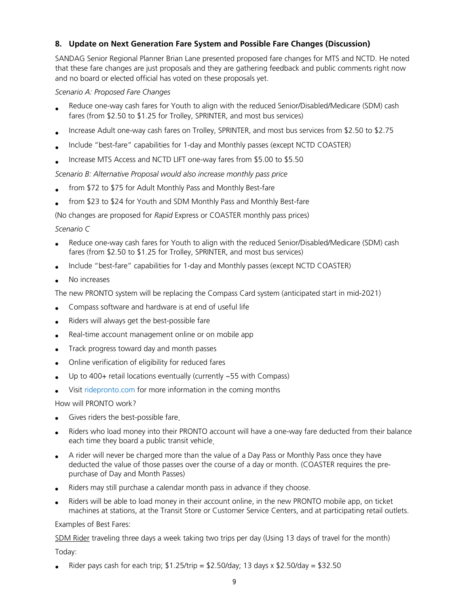#### **8. Update on Next Generation Fare System and Possible Fare Changes (Discussion)**

SANDAG Senior Regional Planner Brian Lane presented proposed fare changes for MTS and NCTD. He noted that these fare changes are just proposals and they are gathering feedback and public comments right now and no board or elected official has voted on these proposals yet.

#### *Scenario A: Proposed Fare Changes*

- Reduce one-way cash fares for Youth to align with the reduced Senior/Disabled/Medicare (SDM) cash fares (from \$2.50 to \$1.25 for Trolley, SPRINTER, and most bus services)
- Increase Adult one-way cash fares on Trolley, SPRINTER, and most bus services from \$2.50 to \$2.75
- Include "best-fare" capabilities for 1-day and Monthly passes (except NCTD COASTER)
- Increase MTS Access and NCTD LIFT one-way fares from \$5.00 to \$5.50

#### *Scenario B: Alternative Proposal would also increase monthly pass price*

- from \$72 to \$75 for Adult Monthly Pass and Monthly Best-fare
- from \$23 to \$24 for Youth and SDM Monthly Pass and Monthly Best-fare

(No changes are proposed for *Rapid* Express or COASTER monthly pass prices)

#### *Scenario C*

- Reduce one-way cash fares for Youth to align with the reduced Senior/Disabled/Medicare (SDM) cash fares (from \$2.50 to \$1.25 for Trolley, SPRINTER, and most bus services)
- Include "best-fare" capabilities for 1-day and Monthly passes (except NCTD COASTER)
- No increases

The new PRONTO system will be replacing the Compass Card system (anticipated start in mid-2021)

- Compass software and hardware is at end of useful life
- Riders will always get the best-possible fare
- Real-time account management online or on mobile app
- Track progress toward day and month passes
- Online verification of eligibility for reduced fares
- Up to  $400+$  retail locations eventually (currently  $\sim$  55 with Compass)
- Visit ridepronto.com for more information in the coming months

How will PRONTO work?

- Gives riders the best-possible fare.
- Riders who load money into their PRONTO account will have a one-way fare deducted from their balance each time they board a public transit vehicle.
- A rider will never be charged more than the value of a Day Pass or Monthly Pass once they have deducted the value of those passes over the course of a day or month. (COASTER requires the prepurchase of Day and Month Passes)
- Riders may still purchase a calendar month pass in advance if they choose.
- Riders will be able to load money in their account online, in the new PRONTO mobile app, on ticket machines at stations, at the Transit Store or Customer Service Centers, and at participating retail outlets.

#### Examples of Best Fares:

SDM Rider traveling three days a week taking two trips per day (Using 13 days of travel for the month)

#### Today:

Rider pays cash for each trip;  $$1.25/trip = $2.50/day$ ; 13 days x  $$2.50/day = $32.50$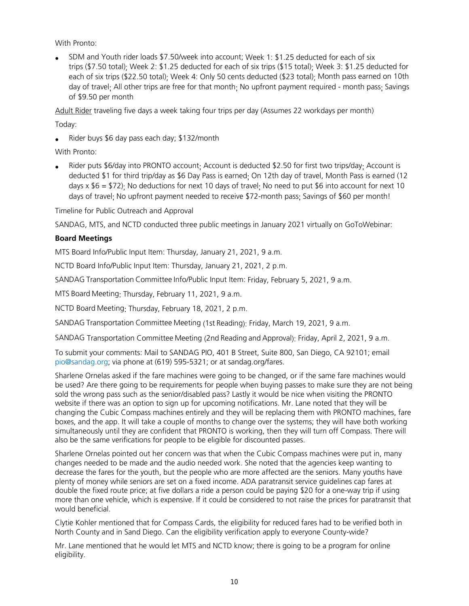With Pronto:

• SDM and Youth rider loads \$7.50/week into account; Week 1: \$1.25 deducted for each of six trips (\$7.50 total); Week 2: \$1.25 deducted for each of six trips (\$15 total); Week 3: \$1.25 deducted for each of six trips (\$22.50 total)<sup>.</sup> Week 4: Only 50 cents deducted (\$23 total)<sup>.</sup> Month pass earned on 10th day of travel; All other trips are free for that month; No upfront payment required - month pass; Savings of \$9.50 per month

Adult Rider traveling five days a week taking four trips per day (Assumes 22 workdays per month)

Today:

• Rider buys \$6 day pass each day; \$132/month

With Pronto:

Rider puts \$6/day into PRONTO account: Account is deducted \$2.50 for first two trips/day: Account is deducted \$1 for third trip/day as \$6 Day Pass is earned; On 12th day of travel, Month Pass is earned (12 days  $x$  \$6 = \$72); No deductions for next 10 days of travel; No need to put \$6 into account for next 10 days of travel; No upfront payment needed to receive \$72-month pass; Savings of \$60 per month!

Timeline for Public Outreach and Approval

SANDAG, MTS, and NCTD conducted three public meetings in January 2021 virtually on GoToWebinar:

#### **Board Meetings**

MTS Board Info/Public Input Item: Thursday, January 21, 2021, 9 a.m.

NCTD Board Info/Public Input Item: Thursday, January 21, 2021, 2 p.m.  

SANDAG Transportation Committee Info/Public Input Item: Friday, February 5, 2021, 9 a.m.  

MTS Board Meeting: Thursday, February 11, 2021, 9 a.m.

NCTD Board Meeting: Thursday, February 18, 2021, 2 p.m.

SANDAG Transportation Committee Meeting (1st Reading): Friday, March 19, 2021, 9 a.m.

SANDAG Transportation Committee Meeting (2nd Reading and Approval): Friday, April 2, 2021, 9 a.m.

To submit your comments: Mail to SANDAG PIO, 401 B Street, Suite 800, San Diego, CA 92101; email [pio@sandag.org;](mailto:pio@sandag.org) via phone at (619) 595-5321; or at sandag.org/fares.

Sharlene Ornelas asked if the fare machines were going to be changed, or if the same fare machines would be used? Are there going to be requirements for people when buying passes to make sure they are not being sold the wrong pass such as the senior/disabled pass? Lastly it would be nice when visiting the PRONTO website if there was an option to sign up for upcoming notifications. Mr. Lane noted that they will be changing the Cubic Compass machines entirely and they will be replacing them with PRONTO machines, fare boxes, and the app. It will take a couple of months to change over the systems; they will have both working simultaneously until they are confident that PRONTO is working, then they will turn off Compass. There will also be the same verifications for people to be eligible for discounted passes.

Sharlene Ornelas pointed out her concern was that when the Cubic Compass machines were put in, many changes needed to be made and the audio needed work. She noted that the agencies keep wanting to decrease the fares for the youth, but the people who are more affected are the seniors. Many youths have plenty of money while seniors are set on a fixed income. ADA paratransit service guidelines cap fares at double the fixed route price; at five dollars a ride a person could be paying \$20 for a one-way trip if using more than one vehicle, which is expensive. If it could be considered to not raise the prices for paratransit that would beneficial.

Clytie Kohler mentioned that for Compass Cards, the eligibility for reduced fares had to be verified both in North County and in Sand Diego. Can the eligibility verification apply to everyone County-wide?

Mr. Lane mentioned that he would let MTS and NCTD know; there is going to be a program for online eligibility.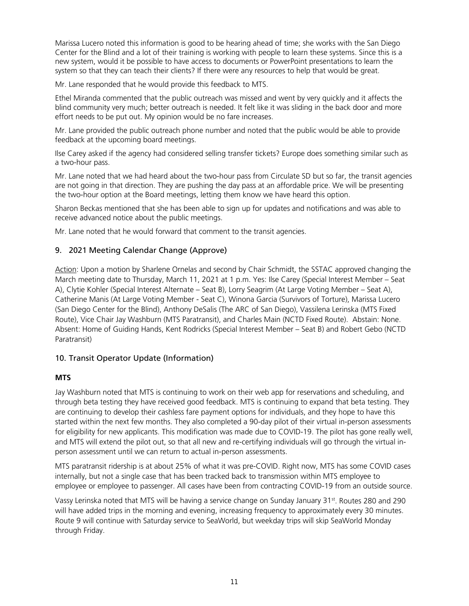Marissa Lucero noted this information is good to be hearing ahead of time; she works with the San Diego Center for the Blind and a lot of their training is working with people to learn these systems. Since this is a new system, would it be possible to have access to documents or PowerPoint presentations to learn the system so that they can teach their clients? If there were any resources to help that would be great.

Mr. Lane responded that he would provide this feedback to MTS.

Ethel Miranda commented that the public outreach was missed and went by very quickly and it affects the blind community very much; better outreach is needed. It felt like it was sliding in the back door and more effort needs to be put out. My opinion would be no fare increases.

Mr. Lane provided the public outreach phone number and noted that the public would be able to provide feedback at the upcoming board meetings.

Ilse Carey asked if the agency had considered selling transfer tickets? Europe does something similar such as a two-hour pass.

Mr. Lane noted that we had heard about the two-hour pass from Circulate SD but so far, the transit agencies are not going in that direction. They are pushing the day pass at an affordable price. We will be presenting the two-hour option at the Board meetings, letting them know we have heard this option.

Sharon Beckas mentioned that she has been able to sign up for updates and notifications and was able to receive advanced notice about the public meetings.

Mr. Lane noted that he would forward that comment to the transit agencies.

#### 9. 2021 Meeting Calendar Change (Approve)

Action: Upon a motion by Sharlene Ornelas and second by Chair Schmidt, the SSTAC approved changing the March meeting date to Thursday, March 11, 2021 at 1 p.m. Yes: Ilse Carey (Special Interest Member – Seat A), Clytie Kohler (Special Interest Alternate – Seat B), Lorry Seagrim (At Large Voting Member – Seat A), Catherine Manis (At Large Voting Member - Seat C), Winona Garcia (Survivors of Torture), Marissa Lucero (San Diego Center for the Blind), Anthony DeSalis (The ARC of San Diego), Vassilena Lerinska (MTS Fixed Route), Vice Chair Jay Washburn (MTS Paratransit), and Charles Main (NCTD Fixed Route). Abstain: None. Absent: Home of Guiding Hands, Kent Rodricks (Special Interest Member – Seat B) and Robert Gebo (NCTD Paratransit)

#### 10. Transit Operator Update (Information)

#### **MTS**

Jay Washburn noted that MTS is continuing to work on their web app for reservations and scheduling, and through beta testing they have received good feedback. MTS is continuing to expand that beta testing. They are continuing to develop their cashless fare payment options for individuals, and they hope to have this started within the next few months. They also completed a 90-day pilot of their virtual in-person assessments for eligibility for new applicants. This modification was made due to COVID-19. The pilot has gone really well, and MTS will extend the pilot out, so that all new and re-certifying individuals will go through the virtual inperson assessment until we can return to actual in-person assessments.

MTS paratransit ridership is at about 25% of what it was pre-COVID. Right now, MTS has some COVID cases internally, but not a single case that has been tracked back to transmission within MTS employee to employee or employee to passenger. All cases have been from contracting COVID-19 from an outside source.

Vassy Lerinska noted that MTS will be having a service change on Sunday January 31<sup>st</sup>. Routes 280 and 290 will have added trips in the morning and evening, increasing frequency to approximately every 30 minutes. Route 9 will continue with Saturday service to SeaWorld, but weekday trips will skip SeaWorld Monday through Friday.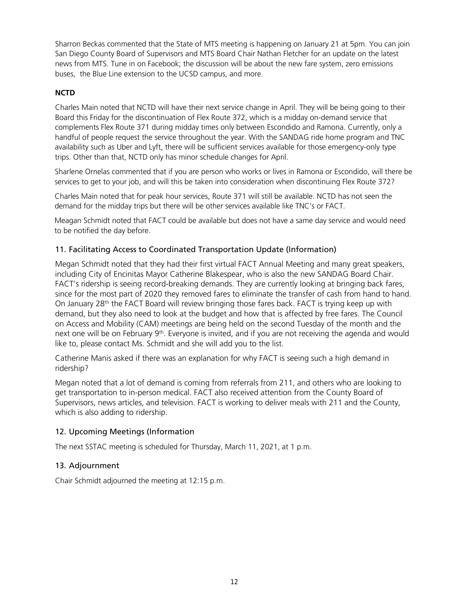Sharron Beckas commented that the State of MTS meeting is happening on January 21 at 5pm. You can join San Diego County Board of Supervisors and MTS Board Chair Nathan Fletcher for an update on the latest news from MTS. Tune in on Facebook; the discussion will be about the new fare system, zero emissions buses, the Blue Line extension to the UCSD campus, and more.

#### **NCTD**

Charles Main noted that NCTD will have their next service change in April. They will be being going to their Board this Friday for the discontinuation of Flex Route 372, which is a midday on-demand service that complements Flex Route 371 during midday times only between Escondido and Ramona. Currently, only a handful of people request the service throughout the year. With the SANDAG ride home program and TNC availability such as Uber and Lyft, there will be sufficient services available for those emergency-only type trips. Other than that, NCTD only has minor schedule changes for April.

Sharlene Ornelas commented that if you are person who works or lives in Ramona or Escondido, will there be services to get to your job, and will this be taken into consideration when discontinuing Flex Route 372?

Charles Main noted that for peak hour services, Route 371 will still be available. NCTD has not seen the demand for the midday trips but there will be other services available like TNC's or FACT.

Meagan Schmidt noted that FACT could be available but does not have a same day service and would need to be notified the day before.

#### 11. Facilitating Access to Coordinated Transportation Update (Information)

Megan Schmidt noted that they had their first virtual FACT Annual Meeting and many great speakers, including City of Encinitas Mayor Catherine Blakespear, who is also the new SANDAG Board Chair. FACT's ridership is seeing record-breaking demands. They are currently looking at bringing back fares, since for the most part of 2020 they removed fares to eliminate the transfer of cash from hand to hand. On January 28<sup>th</sup> the FACT Board will review bringing those fares back. FACT is trying keep up with demand, but they also need to look at the budget and how that is affected by free fares. The Council on Access and Mobility (CAM) meetings are being held on the second Tuesday of the month and the next one will be on February 9th. Everyone is invited, and if you are not receiving the agenda and would like to, please contact Ms. Schmidt and she will add you to the list.

Catherine Manis asked if there was an explanation for why FACT is seeing such a high demand in ridership?

Megan noted that a lot of demand is coming from referrals from 211, and others who are looking to get transportation to in-person medical. FACT also received attention from the County Board of Supervisors, news articles, and television. FACT is working to deliver meals with 211 and the County, which is also adding to ridership.

#### 12. Upcoming Meetings (Information

The next SSTAC meeting is scheduled for Thursday, March 11, 2021, at 1 p.m.

#### 13. Adjournment

Chair Schmidt adjourned the meeting at 12:15 p.m.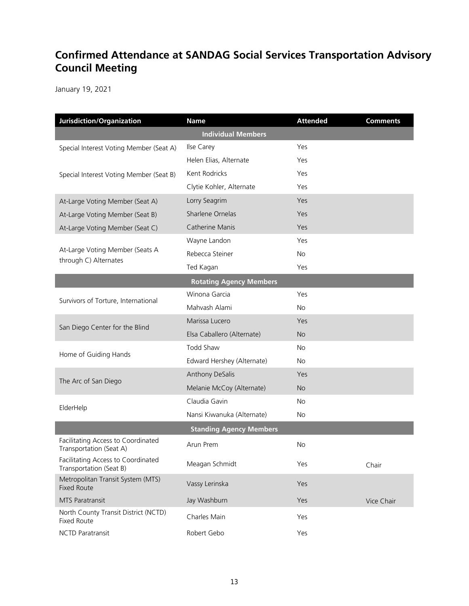### **Confirmed Attendance at SANDAG Social Services Transportation Advisory Council Meeting**

January 19, 2021

| Jurisdiction/Organization                                     | <b>Name</b>                    | <b>Attended</b> | <b>Comments</b> |  |
|---------------------------------------------------------------|--------------------------------|-----------------|-----------------|--|
| <b>Individual Members</b>                                     |                                |                 |                 |  |
| Special Interest Voting Member (Seat A)                       | Ilse Carey                     | Yes             |                 |  |
|                                                               | Helen Elias, Alternate         | Yes             |                 |  |
| Special Interest Voting Member (Seat B)                       | Kent Rodricks                  | Yes             |                 |  |
|                                                               | Clytie Kohler, Alternate       | Yes             |                 |  |
| At-Large Voting Member (Seat A)                               | Lorry Seagrim                  | Yes             |                 |  |
| At-Large Voting Member (Seat B)                               | Sharlene Ornelas               | Yes             |                 |  |
| At-Large Voting Member (Seat C)                               | Catherine Manis                | Yes             |                 |  |
| At-Large Voting Member (Seats A<br>through C) Alternates      | Wayne Landon                   | Yes             |                 |  |
|                                                               | Rebecca Steiner                | No.             |                 |  |
|                                                               | Ted Kagan                      | Yes             |                 |  |
| <b>Rotating Agency Members</b>                                |                                |                 |                 |  |
| Survivors of Torture, International                           | Winona Garcia                  | Yes             |                 |  |
|                                                               | Mahvash Alami                  | <b>No</b>       |                 |  |
| San Diego Center for the Blind                                | Marissa Lucero                 | Yes             |                 |  |
|                                                               | Elsa Caballero (Alternate)     | No.             |                 |  |
| Home of Guiding Hands                                         | Todd Shaw                      | No.             |                 |  |
|                                                               | Edward Hershey (Alternate)     | <b>No</b>       |                 |  |
| The Arc of San Diego                                          | Anthony DeSalis                | Yes             |                 |  |
|                                                               | Melanie McCoy (Alternate)      | <b>No</b>       |                 |  |
| ElderHelp                                                     | Claudia Gavin                  | No.             |                 |  |
|                                                               | Nansi Kiwanuka (Alternate)     | No.             |                 |  |
|                                                               | <b>Standing Agency Members</b> |                 |                 |  |
| Facilitating Access to Coordinated<br>Transportation (Seat A) | Arun Prem                      | <b>No</b>       |                 |  |
| Facilitating Access to Coordinated<br>Transportation (Seat B) | Meagan Schmidt                 | Yes             | Chair           |  |
| Metropolitan Transit System (MTS)<br><b>Fixed Route</b>       | Vassy Lerinska                 | Yes             |                 |  |
| MTS Paratransit                                               | Jay Washburn                   | Yes             | Vice Chair      |  |
| North County Transit District (NCTD)<br><b>Fixed Route</b>    | Charles Main                   | Yes             |                 |  |
| <b>NCTD Paratransit</b>                                       | Robert Gebo                    | Yes             |                 |  |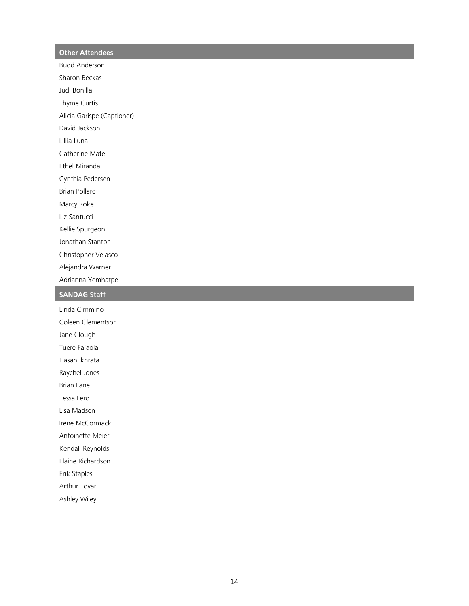#### **Other Attendees**

Budd Anderson

Sharon Beckas

Judi Bonilla

Thyme Curtis

Alicia Garispe (Captioner)

David Jackson

Lillia Luna

Catherine Matel

Ethel Miranda

Cynthia Pedersen

Brian Pollard

Marcy Roke

Liz Santucci

Kellie Spurgeon

Jonathan Stanton

Christopher Velasco

Alejandra Warner

Adrianna Yemhatpe

#### **SANDAG Staff**

Linda Cimmino Coleen Clementson

Jane Clough

Tuere Fa'aola

Hasan Ikhrata

Raychel Jones

Brian Lane

Tessa Lero

Lisa Madsen

Irene McCormack

Antoinette Meier

Kendall Reynolds

Elaine Richardson

Erik Staples

Arthur Tovar

Ashley Wiley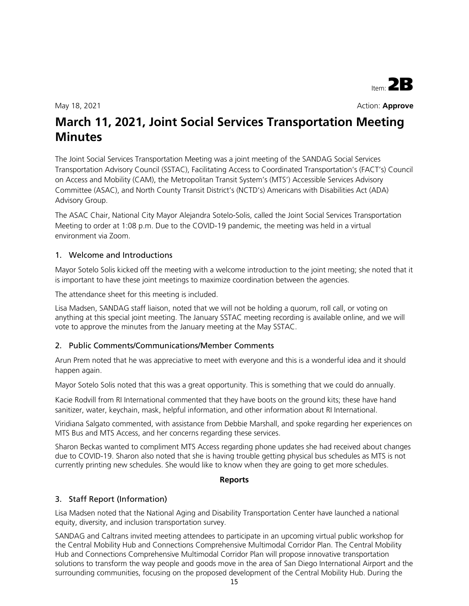

May 18, 2021 **Action: Approve** 

# **March 11, 2021, Joint Social Services Transportation Meeting Minutes**

The Joint Social Services Transportation Meeting was a joint meeting of the SANDAG Social Services Transportation Advisory Council (SSTAC), Facilitating Access to Coordinated Transportation's (FACT's) Council on Access and Mobility (CAM), the Metropolitan Transit System's (MTS') Accessible Services Advisory Committee (ASAC), and North County Transit District's (NCTD's) Americans with Disabilities Act (ADA) Advisory Group.

The ASAC Chair, National City Mayor Alejandra Sotelo-Solis, called the Joint Social Services Transportation Meeting to order at 1:08 p.m. Due to the COVID-19 pandemic, the meeting was held in a virtual environment via Zoom.

#### 1. Welcome and Introductions

Mayor Sotelo Solis kicked off the meeting with a welcome introduction to the joint meeting; she noted that it is important to have these joint meetings to maximize coordination between the agencies.

The attendance sheet for this meeting is included.

Lisa Madsen, SANDAG staff liaison, noted that we will not be holding a quorum, roll call, or voting on anything at this special joint meeting. The January SSTAC meeting recording is available online, and we will vote to approve the minutes from the January meeting at the May SSTAC.

#### 2. Public Comments/Communications/Member Comments

Arun Prem noted that he was appreciative to meet with everyone and this is a wonderful idea and it should happen again.

Mayor Sotelo Solis noted that this was a great opportunity. This is something that we could do annually.

Kacie Rodvill from RI International commented that they have boots on the ground kits; these have hand sanitizer, water, keychain, mask, helpful information, and other information about RI International.

Viridiana Salgato commented, with assistance from Debbie Marshall, and spoke regarding her experiences on MTS Bus and MTS Access, and her concerns regarding these services.

Sharon Beckas wanted to compliment MTS Access regarding phone updates she had received about changes due to COVID-19. Sharon also noted that she is having trouble getting physical bus schedules as MTS is not currently printing new schedules. She would like to know when they are going to get more schedules.

#### **Reports**

#### 3. Staff Report (Information)

Lisa Madsen noted that the National Aging and Disability Transportation Center have launched a national equity, diversity, and inclusion transportation survey.

SANDAG and Caltrans invited meeting attendees to participate in an upcoming virtual public workshop for the Central Mobility Hub and Connections Comprehensive Multimodal Corridor Plan. The Central Mobility Hub and Connections Comprehensive Multimodal Corridor Plan will propose innovative transportation solutions to transform the way people and goods move in the area of San Diego International Airport and the surrounding communities, focusing on the proposed development of the Central Mobility Hub. During the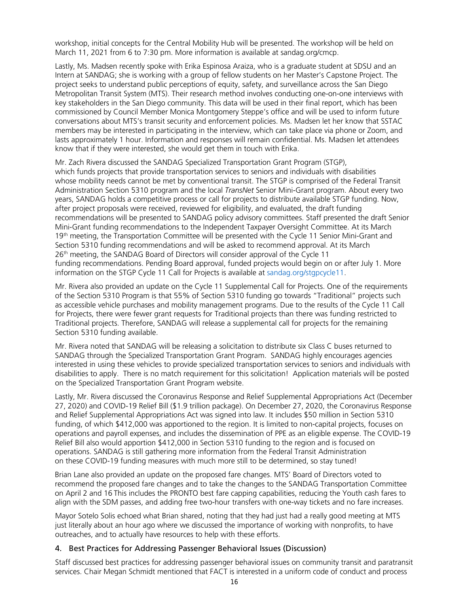workshop, initial concepts for the Central Mobility Hub will be presented. The workshop will be held on March 11, 2021 from 6 to 7:30 pm. More information is available at sandag.org/cmcp.

Lastly, Ms. Madsen recently spoke with Erika Espinosa Araiza, who is a graduate student at SDSU and an Intern at SANDAG; she is working with a group of fellow students on her Master's Capstone Project. The project seeks to understand public perceptions of equity, safety, and surveillance across the San Diego Metropolitan Transit System (MTS). Their research method involves conducting one-on-one interviews with key stakeholders in the San Diego community. This data will be used in their final report, which has been commissioned by Council Member Monica Montgomery Steppe's office and will be used to inform future conversations about MTS's transit security and enforcement policies. Ms. Madsen let her know that SSTAC members may be interested in participating in the interview, which can take place via phone or Zoom, and lasts approximately 1 hour. Information and responses will remain confidential. Ms. Madsen let attendees know that if they were interested, she would get them in touch with Erika.

Mr. Zach Rivera discussed the SANDAG Specialized Transportation Grant Program (STGP), which funds projects that provide transportation services to seniors and individuals with disabilities whose mobility needs cannot be met by conventional transit. The STGP is comprised of the Federal Transit Administration Section 5310 program and the local *TransNet* Senior Mini-Grant program. About every two years, SANDAG holds a competitive process or call for projects to distribute available STGP funding. Now, after project proposals were received, reviewed for eligibility, and evaluated, the draft funding recommendations will be presented to SANDAG policy advisory committees. Staff presented the draft Senior Mini-Grant funding recommendations to the Independent Taxpayer Oversight Committee. At its March 19<sup>th</sup> meeting, the Transportation Committee will be presented with the Cycle 11 Senior Mini-Grant and Section 5310 funding recommendations and will be asked to recommend approval. At its March 26<sup>th</sup> meeting, the SANDAG Board of Directors will consider approval of the Cycle 11 funding recommendations. Pending Board approval, funded projects would begin on or after July 1. More information on the STGP Cycle 11 Call for Projects is available at sandag.org/stgpcycle11.

Mr. Rivera also provided an update on the Cycle 11 Supplemental Call for Projects. One of the requirements of the Section 5310 Program is that 55% of Section 5310 fundi[ng go towards "Tradition](http://www.sandag.org/stgpcycle11)al" projects such as accessible vehicle purchases and mobility management programs. Due to the results of the Cycle 11 Call for Projects, there were fewer grant requests for Traditional projects than there was funding restricted to Traditional projects. Therefore, SANDAG will release a supplemental call for projects for the remaining Section 5310 funding available.

Mr. Rivera noted that SANDAG will be releasing a solicitation to distribute six Class C buses returned to SANDAG through the Specialized Transportation Grant Program. SANDAG highly encourages agencies interested in using these vehicles to provide specialized transportation services to seniors and individuals with disabilities to apply. There is no match requirement for this solicitation! Application materials will be posted on the Specialized Transportation Grant Program website.

Lastly, Mr. Rivera discussed the Coronavirus Response and Relief Supplemental Appropriations Act (December 27, 2020) and COVID-19 Relief Bill (\$1.9 trillion package). On December 27, 2020, the Coronavirus Response and Relief Supplemental Appropriations Act was signed into law. It includes \$50 million in Section 5310 funding, of which \$412,000 was apportioned to the region. It is limited to non-capital projects, focuses on operations and payroll expenses, and includes the dissemination of PPE as an eligible expense. The COVID-19 Relief Bill also would apportion \$412,000 in Section 5310 funding to the region and is focused on operations. SANDAG is still gathering more information from the Federal Transit Administration on these COVID-19 funding measures with much more still to be determined, so stay tuned!

Brian Lane also provided an update on the proposed fare changes. MTS' Board of Directors voted to recommend the proposed fare changes and to take the changes to the SANDAG Transportation Committee on April 2 and 16 This includes the PRONTO best fare capping capabilities, reducing the Youth cash fares to align with the SDM passes, and adding free two-hour transfers with one-way tickets and no fare increases.

Mayor Sotelo Solis echoed what Brian shared, noting that they had just had a really good meeting at MTS just literally about an hour ago where we discussed the importance of working with nonprofits, to have outreaches, and to actually have resources to help with these efforts.

#### 4. Best Practices for Addressing Passenger Behavioral Issues (Discussion)

Staff discussed best practices for addressing passenger behavioral issues on community transit and paratransit services. Chair Megan Schmidt mentioned that FACT is interested in a uniform code of conduct and process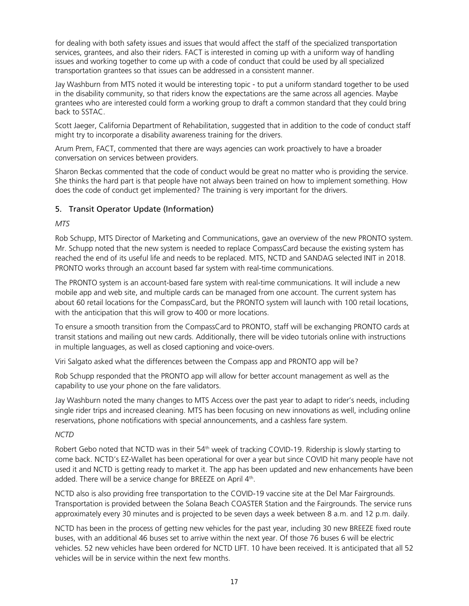for dealing with both safety issues and issues that would affect the staff of the specialized transportation services, grantees, and also their riders. FACT is interested in coming up with a uniform way of handling issues and working together to come up with a code of conduct that could be used by all specialized transportation grantees so that issues can be addressed in a consistent manner.

Jay Washburn from MTS noted it would be interesting topic - to put a uniform standard together to be used in the disability community, so that riders know the expectations are the same across all agencies. Maybe grantees who are interested could form a working group to draft a common standard that they could bring back to SSTAC.

Scott Jaeger, California Department of Rehabilitation, suggested that in addition to the code of conduct staff might try to incorporate a disability awareness training for the drivers.

Arum Prem, FACT, commented that there are ways agencies can work proactively to have a broader conversation on services between providers.

Sharon Beckas commented that the code of conduct would be great no matter who is providing the service. She thinks the hard part is that people have not always been trained on how to implement something. How does the code of conduct get implemented? The training is very important for the drivers.

#### 5. Transit Operator Update (Information)

#### *MTS*

Rob Schupp, MTS Director of Marketing and Communications, gave an overview of the new PRONTO system. Mr. Schupp noted that the new system is needed to replace CompassCard because the existing system has reached the end of its useful life and needs to be replaced. MTS, NCTD and SANDAG selected INIT in 2018. PRONTO works through an account based far system with real-time communications.

The PRONTO system is an account-based fare system with real-time communications. It will include a new mobile app and web site, and multiple cards can be managed from one account. The current system has about 60 retail locations for the CompassCard, but the PRONTO system will launch with 100 retail locations, with the anticipation that this will grow to 400 or more locations.

To ensure a smooth transition from the CompassCard to PRONTO, staff will be exchanging PRONTO cards at transit stations and mailing out new cards. Additionally, there will be video tutorials online with instructions in multiple languages, as well as closed captioning and voice-overs.

Viri Salgato asked what the differences between the Compass app and PRONTO app will be?

Rob Schupp responded that the PRONTO app will allow for better account management as well as the capability to use your phone on the fare validators.

Jay Washburn noted the many changes to MTS Access over the past year to adapt to rider's needs, including single rider trips and increased cleaning. MTS has been focusing on new innovations as well, including online reservations, phone notifications with special announcements, and a cashless fare system.

#### *NCTD*

Robert Gebo noted that NCTD was in their 54<sup>th</sup> week of tracking COVID-19. Ridership is slowly starting to come back. NCTD's EZ-Wallet has been operational for over a year but since COVID hit many people have not used it and NCTD is getting ready to market it. The app has been updated and new enhancements have been added. There will be a service change for BREEZE on April 4<sup>th</sup>.

NCTD also is also providing free transportation to the COVID-19 vaccine site at the Del Mar Fairgrounds. Transportation is provided between the Solana Beach COASTER Station and the Fairgrounds. The service runs approximately every 30 minutes and is projected to be seven days a week between 8 a.m. and 12 p.m. daily.

NCTD has been in the process of getting new vehicles for the past year, including 30 new BREEZE fixed route buses, with an additional 46 buses set to arrive within the next year. Of those 76 buses 6 will be electric vehicles. 52 new vehicles have been ordered for NCTD LIFT. 10 have been received. It is anticipated that all 52 vehicles will be in service within the next few months.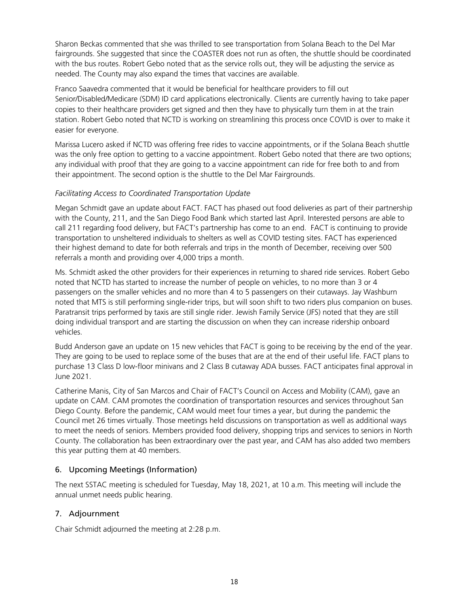Sharon Beckas commented that she was thrilled to see transportation from Solana Beach to the Del Mar fairgrounds. She suggested that since the COASTER does not run as often, the shuttle should be coordinated with the bus routes. Robert Gebo noted that as the service rolls out, they will be adjusting the service as needed. The County may also expand the times that vaccines are available.

Franco Saavedra commented that it would be beneficial for healthcare providers to fill out Senior/Disabled/Medicare (SDM) ID card applications electronically. Clients are currently having to take paper copies to their healthcare providers get signed and then they have to physically turn them in at the train station. Robert Gebo noted that NCTD is working on streamlining this process once COVID is over to make it easier for everyone.

Marissa Lucero asked if NCTD was offering free rides to vaccine appointments, or if the Solana Beach shuttle was the only free option to getting to a vaccine appointment. Robert Gebo noted that there are two options; any individual with proof that they are going to a vaccine appointment can ride for free both to and from their appointment. The second option is the shuttle to the Del Mar Fairgrounds.

#### *Facilitating Access to Coordinated Transportation Update*

Megan Schmidt gave an update about FACT. FACT has phased out food deliveries as part of their partnership with the County, 211, and the San Diego Food Bank which started last April. Interested persons are able to call 211 regarding food delivery, but FACT's partnership has come to an end. FACT is continuing to provide transportation to unsheltered individuals to shelters as well as COVID testing sites. FACT has experienced their highest demand to date for both referrals and trips in the month of December, receiving over 500 referrals a month and providing over 4,000 trips a month.

Ms. Schmidt asked the other providers for their experiences in returning to shared ride services. Robert Gebo noted that NCTD has started to increase the number of people on vehicles, to no more than 3 or 4 passengers on the smaller vehicles and no more than 4 to 5 passengers on their cutaways. Jay Washburn noted that MTS is still performing single-rider trips, but will soon shift to two riders plus companion on buses. Paratransit trips performed by taxis are still single rider. Jewish Family Service (JFS) noted that they are still doing individual transport and are starting the discussion on when they can increase ridership onboard vehicles.

Budd Anderson gave an update on 15 new vehicles that FACT is going to be receiving by the end of the year. They are going to be used to replace some of the buses that are at the end of their useful life. FACT plans to purchase 13 Class D low-floor minivans and 2 Class B cutaway ADA busses. FACT anticipates final approval in June 2021.

Catherine Manis, City of San Marcos and Chair of FACT's Council on Access and Mobility (CAM), gave an update on CAM. CAM promotes the coordination of transportation resources and services throughout San Diego County. Before the pandemic, CAM would meet four times a year, but during the pandemic the Council met 26 times virtually. Those meetings held discussions on transportation as well as additional ways to meet the needs of seniors. Members provided food delivery, shopping trips and services to seniors in North County. The collaboration has been extraordinary over the past year, and CAM has also added two members this year putting them at 40 members.

#### 6. Upcoming Meetings (Information)

The next SSTAC meeting is scheduled for Tuesday, May 18, 2021, at 10 a.m. This meeting will include the annual unmet needs public hearing.

#### 7. Adjournment

Chair Schmidt adjourned the meeting at 2:28 p.m.